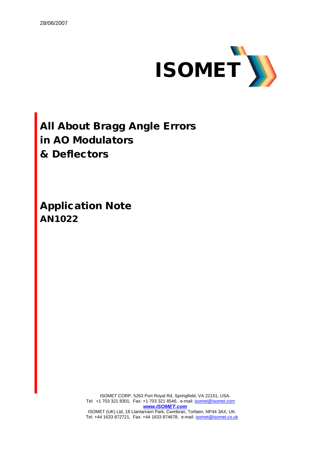

**All About Bragg Angle Errors in AO Modulators & Deflectors**

**Application Note AN1022**

> ISOMET CORP, 5263 Port Royal Rd, Springfield, VA 22151, USA. Tel: +1 703 321 8301, Fax: +1 703 321 8546, e-mail: **isomet@isomet.com** *www.ISOMET.com* ISOMET (UK) Ltd, 18 Llantarnam Park, Cwmbran, Torfaen, NP44 3AX, UK. Tel: +44 1633 872721, Fax: +44 1633 874678, e-mail: isomet@isomet.co.uk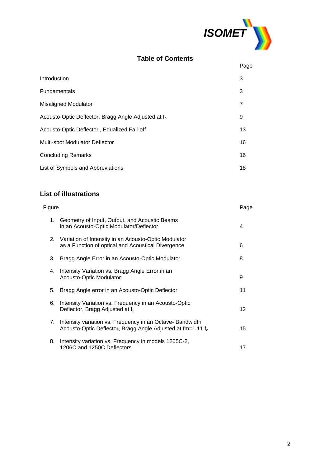

# **Table of Contents**

|                                                                 | Page           |
|-----------------------------------------------------------------|----------------|
| Introduction                                                    | 3              |
| <b>Fundamentals</b>                                             | 3              |
| <b>Misaligned Modulator</b>                                     | $\overline{7}$ |
| Acousto-Optic Deflector, Bragg Angle Adjusted at f <sub>o</sub> | 9              |
| Acousto-Optic Deflector, Equalized Fall-off                     | 13             |
| Multi-spot Modulator Deflector                                  | 16             |
| <b>Concluding Remarks</b>                                       | 16             |
| List of Symbols and Abbreviations                               | 18             |

# **List of illustrations**

| <u>Figure</u> |                                                                                                                              | Page |
|---------------|------------------------------------------------------------------------------------------------------------------------------|------|
| 1.            | Geometry of Input, Output, and Acoustic Beams<br>in an Acousto-Optic Modulator/Deflector                                     | 4    |
| 2.            | Variation of Intensity in an Acousto-Optic Modulator<br>as a Function of optical and Acoustical Divergence                   | 6    |
| 3.            | Bragg Angle Error in an Acousto-Optic Modulator                                                                              | 8    |
| 4.            | Intensity Variation vs. Bragg Angle Error in an<br>Acousto-Optic Modulator                                                   | 9    |
| 5.            | Bragg Angle error in an Acousto-Optic Deflector                                                                              | 11   |
| 6.            | Intensity Variation vs. Frequency in an Acousto-Optic<br>Deflector, Bragg Adjusted at f <sub>o</sub>                         | 12   |
| 7.            | Intensity variation vs. Frequency in an Octave- Bandwidth<br>Acousto-Optic Deflector, Bragg Angle Adjusted at $fm = 1.11 fo$ | 15   |
| 8.            | Intensity variation vs. Frequency in models 1205C-2,<br>1206C and 1250C Deflectors                                           | 17   |
|               |                                                                                                                              |      |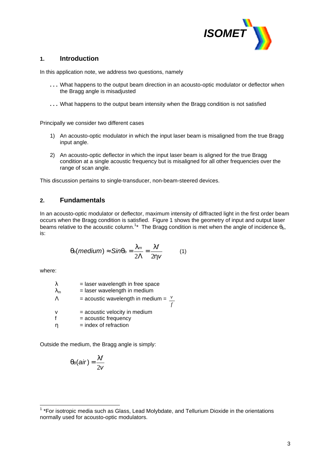

# **1. Introduction**

In this application note, we address two questions, namely

- **. . .** What happens to the output beam direction in an acousto-optic modulator or deflector when the Bragg angle is misadjusted
- **. . .** What happens to the output beam intensity when the Bragg condition is not satisfied

Principally we consider two different cases

- 1) An acousto-optic modulator in which the input laser beam is misaligned from the true Bragg input angle.
- 2) An acousto-optic deflector in which the input laser beam is aligned for the true Bragg condition at a single acoustic frequency but is misaligned for all other frequencies over the range of scan angle.

This discussion pertains to single-transducer, non-beam-steered devices.

#### **2. Fundamentals**

In an acousto-optic modulator or deflector, maximum intensity of diffracted light in the first order beam occurs when the Bragg condition is satisfied. Figure 1 shows the geometry of input and output laser beams relative to the acoustic column.<sup>1\*</sup> The Bragg condition is met when the angle of incidence  $\theta_{b}$ , is:

$$
q_b(\text{medium}) \approx \text{Sing}_b = \frac{1_m}{2\Lambda} = \frac{1f}{2h\text{v}} \tag{1}
$$

where:

| λ<br>$\lambda_{\sf m}$ | $=$ laser wavelength in free space<br>= laser wavelength in medium |
|------------------------|--------------------------------------------------------------------|
| $\Lambda$              | = acoustic wavelength in medium = $\frac{v}{x}$                    |
| v                      | = acoustic velocity in medium                                      |
|                        | = acoustic frequency                                               |
|                        | $=$ index of refraction                                            |

Outside the medium, the Bragg angle is simply:

$$
q_B(air) = \frac{If}{2v}
$$

 1 \*For isotropic media such as Glass, Lead Molybdate, and Tellurium Dioxide in the orientations normally used for acousto-optic modulators.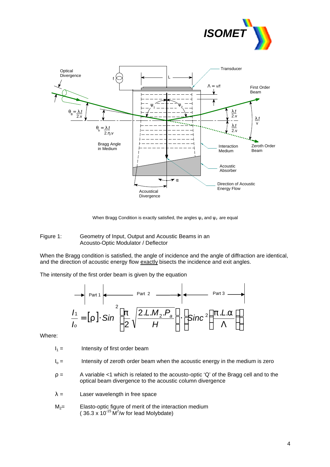



When Bragg Condition is exactly satisfied, the angles  $\psi_1$  and  $\psi_2$  are equal

#### Figure 1: Geometry of Input, Output and Acoustic Beams in an Acousto-Optic Modulator / Deflector

When the Bragg condition is satisfied, the angle of incidence and the angle of diffraction are identical, and the direction of acoustic energy flow exactly bisects the incidence and exit angles.

The intensity of the first order beam is given by the equation

$$
\frac{I_1}{I_0} = [\mathbf{r}] \cdot \text{Sin}^2 \left[ \frac{\mathbf{p}}{2} \sqrt{\frac{2.L.M_2.P_a}{H}} \right] \cdot \left[ \text{Sinc}^2 \left( \frac{\mathbf{p.L.a}}{\Lambda} \right) \right]
$$

Where:

 $I_1 =$  Intensity of first order beam

- $I_0 =$  Intensity of zeroth order beam when the acoustic energy in the medium is zero
- $\rho =$  A variable <1 which is related to the acousto-optic 'Q' of the Bragg cell and to the optical beam divergence to the acoustic column divergence
- $\lambda =$  Laser wavelength in free space
- $M<sub>2</sub>=$  Elasto-optic figure of merit of the interaction medium (36.3 x  $10^{-15}$  M<sup>2</sup>/w for lead Molybdate)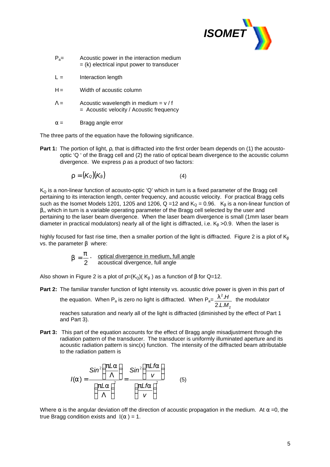

- $P<sub>a</sub>=$  Acoustic power in the interaction medium  $=$  (k) electrical input power to transducer
- $L =$  Interaction length
- $H =$  Width of acoustic column
- $\Lambda =$  Acoustic wavelength in medium = v / f = Acoustic velocity / Acoustic frequency
- $\alpha =$  Bragg angle error

The three parts of the equation have the following significance.

**Part 1:** The portion of light, ρ, that is diffracted into the first order beam depends on (1) the acoustooptic 'Q ' of the Bragg cell and (2) the ratio of optical beam divergence to the acoustic column divergence. We express ρ as a product of two factors:

$$
r = (K_0)(K_b) \tag{4}
$$

 $K_Q$  is a non-linear function of acousto-optic 'Q' which in turn is a fixed parameter of the Bragg cell pertaining to its interaction length, center frequency, and acoustic velocity. For practical Bragg cells such as the Isomet Models 1201, 1205 and 1206, Q =12 and  $K_0 = 0.96$ .  $K_8$  is a non-linear function of β,, which in turn is a variable operating parameter of the Bragg cell selected by the user and pertaining to the laser beam divergence. When the laser beam divergence is small (1mm laser beam diameter in practical modulators) nearly all of the light is diffracted, i.e.  $K_\beta > 0.9$ . When the laser is

highly focused for fast rise time, then a smaller portion of the light is diffracted. Figure 2 is a plot of  $K_\beta$ vs. the parameter β where:

$$
b = \frac{p}{2}
$$
. optical divergence in medium, full angle  
acoustical divergence, full angle

Also shown in Figure 2 is a plot of  $p=(K_Q)(K_B)$  as a function of  $\beta$  for Q=12.

**Part 2:** The familiar transfer function of light intensity vs. acoustic drive power is given in this part of

the equation. When P<sub>a</sub> is zero no light is diffracted. When P<sub>a</sub>= 2 2 2.L. . *L M*  $l^2.H$  the modulator

reaches saturation and nearly all of the light is diffracted (diminished by the effect of Part 1 and Part 3).

**Part 3:** This part of the equation accounts for the effect of Bragg angle misadjustment through the radiation pattern of the transducer. The transducer is uniformly illuminated aperture and its acoustic radiation pattern is sinc(x) function. The intensity of the diffracted beam attributable to the radiation pattern is

$$
I(a) = \frac{\sin^2\left(\frac{pLa}{\Lambda}\right)}{\left(\frac{pLa}{\Lambda}\right)^2} = \frac{\sin^2\left(\frac{pLa}{v}\right)}{\left(\frac{pLfa}{v}\right)^2}
$$
(5)

Where  $\alpha$  is the angular deviation off the direction of acoustic propagation in the medium. At  $\alpha = 0$ , the true Bragg condition exists and  $I(\alpha) = 1$ .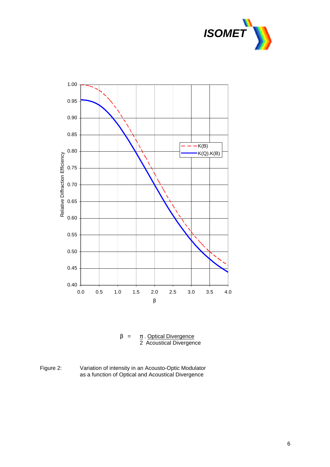



 $β = π$ . Optical Divergence 2 Acoustical Divergence

Figure 2: Variation of intensity in an Acousto-Optic Modulator as a function of Optical and Acoustical Divergence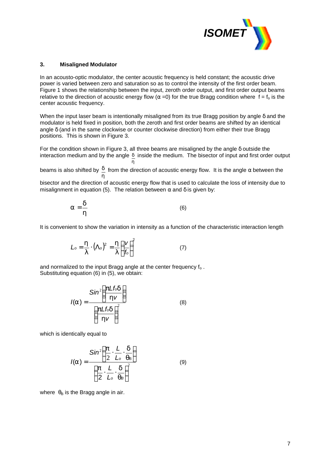

#### **3. Misaligned Modulator**

In an acousto-optic modulator, the center acoustic frequency is held constant; the acoustic drive power is varied between zero and saturation so as to control the intensity of the first order beam. Figure 1 shows the relationship between the input, zeroth order output, and first order output beams relative to the direction of acoustic energy flow ( $\alpha$  =0) for the true Bragg condition where f = f<sub>o</sub> is the center acoustic frequency.

When the input laser beam is intentionally misaligned from its true Bragg position by angle δ and the modulator is held fixed in position, both the zeroth and first order beams are shifted by an identical angle δ (and in the same clockwise or counter clockwise direction) from either their true Bragg positions. This is shown in Figure 3.

For the condition shown in Figure 3, all three beams are misaligned by the angle δ outside the interaction medium and by the angle *d* inside the medium. The bisector of input and first order output *h*

beams is also shifted by *h*  $\frac{d}{dx}$  from the direction of acoustic energy flow. It is the angle  $\alpha$  between the

bisector and the direction of acoustic energy flow that is used to calculate the loss of intensity due to misalignment in equation (5). The relation between  $\alpha$  and  $\delta$  is given by:

$$
a = \frac{d}{h} \tag{6}
$$

It is convenient to show the variation in intensity as a function of the characteristic interaction length

$$
L_o = \frac{\mathbf{h}}{I} \cdot (\Lambda_o)^2 = \frac{\mathbf{h}}{I} \left(\frac{V}{f_o}\right)^2 \tag{7}
$$

and normalized to the input Bragg angle at the center frequency  $f_0$ . Substituting equation (6) in (5), we obtain:

$$
I(a) = \frac{\sin^2\left(\frac{p\angle f_{od}}{h\nu}\right)}{\left(\frac{p\angle f_{od}}{h\nu}\right)^2}
$$
(8)

which is identically equal to

$$
I(a) = \frac{\sin^2\left(\frac{\mathbf{p}}{2} \cdot \frac{L}{L_o} \cdot \frac{\mathbf{d}}{\mathbf{q}_B}\right)}{\left(\frac{\mathbf{p}}{2} \cdot \frac{L}{L_o} \cdot \frac{\mathbf{d}}{\mathbf{q}_B}\right)^2}
$$
(9)

where  $\theta_B$  is the Bragg angle in air.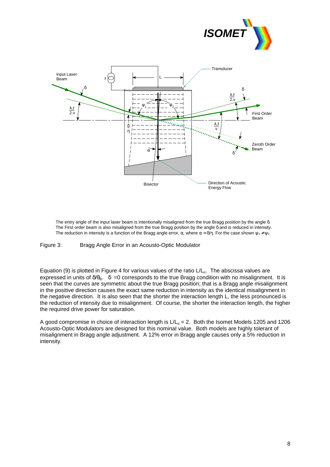



The entry angle of the input laser beam is intentionally misaligned from the true Bragg position by the angle δ. The First order beam is also misaligned from the true Bragg position by the angle δ and is reduced in intensity. The reduction in intensity is a function of the Bragg angle error,  $\alpha$ , where  $\alpha = \delta/\eta$ . For the case shown  $\psi_1 \neq \psi_2$ 

Figure 3: Bragg Angle Error in an Acousto-Optic Modulator

Equation (9) is plotted in Figure 4 for various values of the ratio  $L/L_0$ . The abscissa values are expressed in units of  $\delta/\theta_B$ .  $\delta = 0$  corresponds to the true Bragg condition with no misalignment. It is seen that the curves are symmetric about the true Bragg position; that is a Bragg angle misalignment in the positive direction causes the exact same reduction in intensity as the identical misalignment in the negative direction. It is also seen that the shorter the interaction length L, the less pronounced is the reduction of intensity due to misalignment. Of course, the shorter the interaction length, the higher the required drive power for saturation.

A good compromise in choice of interaction length is  $L/L_0 = 2$ . Both the Isomet Models 1205 and 1206 Acousto-Optic Modulators are designed for this nominal value. Both models are highly tolerant of misalignment in Bragg angle adjustment. A 12% error in Bragg angle causes only a 5% reduction in intensity.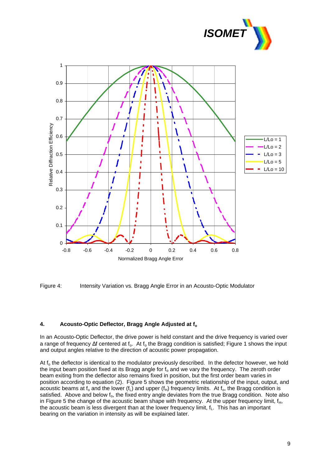





#### **4. Acousto-Optic Deflector, Bragg Angle Adjusted at f<sup>o</sup>**

In an Acousto-Optic Deflector, the drive power is held constant and the drive frequency is varied over a range of frequency  $\Delta f$  centered at f<sub>ore</sub> At f<sub>o</sub> the Bragg condition is satisfied; Figure 1 shows the input and output angles relative to the direction of acoustic power propagation.

At  $f_0$  the deflector is identical to the modulator previously described. In the defector however, we hold the input beam position fixed at its Bragg angle for  $f_0$  and we vary the frequency. The zeroth order beam exiting from the deflector also remains fixed in position, but the first order beam varies in position according to equation (2). Figure 5 shows the geometric relationship of the input, output, and acoustic beams at  $f_0$  and the lower ( $f_L$ ) and upper ( $f_H$ ) frequency limits. At  $f_0$ , the Bragg condition is satisfied. Above and below  $f_0$ , the fixed entry angle deviates from the true Bragg condition. Note also in Figure 5 the change of the acoustic beam shape with frequency. At the upper frequency limit,  $f_H$ , the acoustic beam is less divergent than at the lower frequency limit,  $f<sub>L</sub>$ . This has an important bearing on the variation in intensity as will be explained later.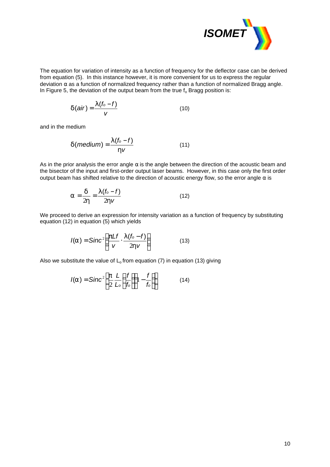

The equation for variation of intensity as a function of frequency for the deflector case can be derived from equation (5). In this instance however, it is more convenient for us to express the regular deviation  $\alpha$  as a function of normalized frequency rather than a function of normalized Bragg angle. In Figure 5, the deviation of the output beam from the true  $f_0$  Bragg position is:

$$
d(air) = \frac{1(f_o - f)}{v} \tag{10}
$$

and in the medium

$$
d(medium) = \frac{I(f_o - f)}{hV}
$$
 (11)

As in the prior analysis the error angle  $\alpha$  is the angle between the direction of the acoustic beam and the bisector of the input and first-order output laser beams. However, in this case only the first order output beam has shifted relative to the direction of acoustic energy flow, so the error angle  $\alpha$  is

$$
a = \frac{d}{2h} = \frac{I(f_o - f)}{2hv} \tag{12}
$$

We proceed to derive an expression for intensity variation as a function of frequency by substituting equation (12) in equation (5) which yields

$$
I(a) = \text{Sinc}^2 \left( \frac{pLf}{v} \cdot \frac{I(f_0 - f)}{2hv} \right) \tag{13}
$$

Also we substitute the value of  $L_0$  from equation (7) in equation (13) giving

$$
I(a) = \text{Sinc}^2 \bigg[ \frac{\mathbf{p}}{2} \frac{L}{L_o} \bigg( \frac{f}{f_o} \bigg) \bigg( 1 - \frac{f}{f_o} \bigg) \bigg] \tag{14}
$$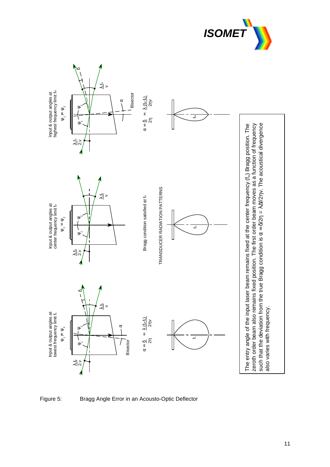





Figure 5: Bragg Angle Error in an Acousto-Optic Deflector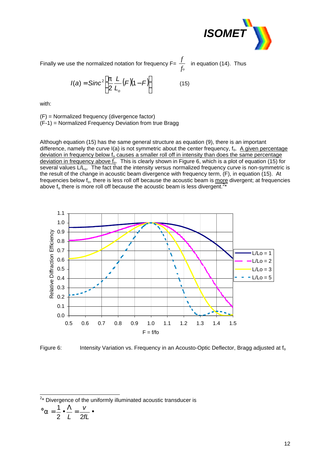

Finally we use the normalized notation for frequency F=  $\frac{f}{f_o}$  $\frac{f}{f}$  in equation (14). Thus

$$
I(a) = \text{Sinc}^2 \bigg[ \frac{p}{2} \frac{L}{L_o} (F)(1 - F) \bigg]
$$
 (15)

with:

(F) = Normalized frequency (divergence factor) (F-1) = Normalized Frequency Deviation from true Bragg

Although equation (15) has the same general structure as equation (9), there is an important difference, namely the curve I(a) is not symmetric about the center frequency, f<sub>o</sub>. A given percentage deviation in frequency below  $f_0$  causes a smaller roll off in intensity than does the same percentage deviation in frequency above  $\overline{f_0}$ . This is clearly shown in Figure 6, which is a plot of equation (15) for several values L/L<sub>o</sub>. The fact that the intensity versus normalized frequency curve is non-symmetric is the result of the change in acoustic beam divergence with frequency term, (F), in equation (15). At frequencies below  $f_0$ , there is less roll off because the acoustic beam is more divergent; at frequencies above  $f_0$  there is more roll off because the acoustic beam is less divergent.<sup>2</sup> \*



Figure 6: Intensity Variation vs. Frequency in an Acousto-Optic Deflector, Bragg adjusted at  $f_0$ 

<sup>2</sup>\* Divergence of the uniformly illuminated acoustic transducer is

 $^{\Phi}a = \frac{1}{2} \cdot \frac{\Lambda}{\Lambda} = \frac{V}{2\pi} \cdot$ *fL v* 2 *L* 2  $a = \frac{1}{2}$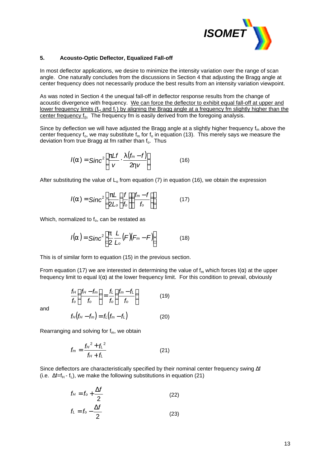

#### **5. Acousto-Optic Deflector, Equalized Fall-off**

In most deflector applications, we desire to minimize the intensity variation over the range of scan angle. One naturally concludes from the discussions in Section 4 that adjusting the Bragg angle at center frequency does not necessarily produce the best results from an intensity variation viewpoint.

As was noted in Section 4 the unequal fall-off in deflector response results from the change of acoustic divergence with frequency. We can force the deflector to exhibit equal fall-off at upper and lower frequency limits ( $f_H$  and  $f_L$ ) by aligning the Bragg angle at a frequency fm slightly higher than the center frequency  $f_0$ . The frequency fm is easily derived from the foregoing analysis.

Since by deflection we will have adjusted the Bragg angle at a slightly higher frequency  $f_m$  above the center frequency  $f_0$ , we may substitute  $f_m$  for  $f_0$  in equation (13). This merely says we measure the deviation from true Bragg at fm rather than  $f_0$ . Thus

$$
I(a) = \text{Sinc}^2 \left[ \frac{pLf}{v} \cdot \frac{I(f_m - f)}{2hv} \right]
$$
 (16)

After substituting the value of  $L_0$  from equation (7) in equation (16), we obtain the expression

$$
I(a) = \text{Sinc}^2 \left[ \frac{pL}{2L_o} \left( \frac{f}{f_o} \right) \left( \frac{f_m - f}{f_o} \right) \right]
$$
 (17)

Which, normalized to  $f_0$ , can be restated as

$$
I(a) = \text{Sinc}^2 \bigg[ \frac{p}{2} \frac{L}{L_o} (F) (F_m - F) \bigg]
$$
 (18)

This is of similar form to equation (15) in the previous section.

From equation (17) we are interested in determining the value of  $f_m$  which forces  $I(\alpha)$  at the upper frequency limit to equal  $I(\alpha)$  at the lower frequency limit. For this condition to prevail, obviously

$$
\frac{f_H}{f_o} \left( \frac{f_H - f_m}{f_o} \right) = \frac{f_L}{f_o} \left( \frac{f_m - f_L}{f_o} \right) \tag{19}
$$

and

$$
f_H(f_H - f_m) = f_L(f_m - f_L)
$$
 (20)

Rearranging and solving for  $f_m$ , we obtain

$$
f_m = \frac{f_H^2 + f_L^2}{f_H + f_L}
$$
 (21)

Since deflectors are characteristically specified by their nominal center frequency swing Δf (i.e.  $\Delta f = f_H - f_L$ ), we make the following substitutions in equation (21)

$$
f_H = f_o + \frac{\Delta f}{2}
$$
 (22)  

$$
f_L = f_o - \frac{\Delta f}{2}
$$
 (23)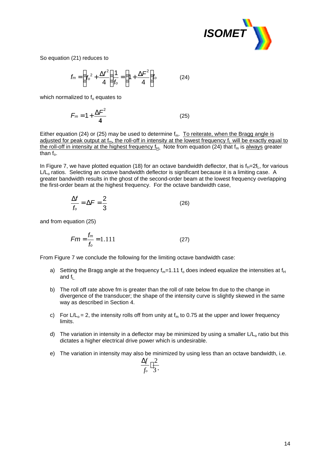

So equation (21) reduces to

$$
f_m = \left(f_o^2 + \frac{\Delta f^2}{4}\right)\frac{1}{f_o} = \left(1 + \frac{\Delta F^2}{4}\right)f_o \tag{24}
$$

which normalized to  $f_0$  equates to

$$
F_m = 1 + \frac{\Delta F^2}{4} \tag{25}
$$

Either equation (24) or (25) may be used to determine  $f_m$ . To reiterate, when the Bragg angle is adjusted for peak output at  $f_m$ , the roll-off in intensity at the lowest frequency  $f_L$  will be exactly equal to the roll-off in intensity at the highest frequency  $f_{H}$ . Note from equation (24) that  $f_m$  is always greater than  $f_0$ .

In Figure 7, we have plotted equation (18) for an octave bandwidth deflector, that is  $f_H=2f_L$ , for various L/L<sub>o</sub> ratios. Selecting an octave bandwidth deflector is significant because it is a limiting case. A greater bandwidth results in the ghost of the second-order beam at the lowest frequency overlapping the first-order beam at the highest frequency. For the octave bandwidth case,

$$
\frac{\Delta f}{f_o} = \Delta F = \frac{2}{3} \tag{26}
$$

and from equation (25)

$$
Fm = \frac{f_m}{f_o} = 1.111
$$
 (27)

From Figure 7 we conclude the following for the limiting octave bandwidth case:

- a) Setting the Bragg angle at the frequency  $f_m=1.11 f_0$  does indeed equalize the intensities at  $f_H$ and  $f_{\perp}$
- b) The roll off rate above fm is greater than the roll of rate below fm due to the change in divergence of the transducer; the shape of the intensity curve is slightly skewed in the same way as described in Section 4.
- c) For  $L/L_0 = 2$ , the intensity rolls off from unity at  $f_m$  to 0.75 at the upper and lower frequency limits.
- d) The variation in intensity in a deflector may be minimized by using a smaller  $L/L_0$  ratio but this dictates a higher electrical drive power which is undesirable.
- e) The variation in intensity may also be minimized by using less than an octave bandwidth, i.e.

$$
\frac{\Delta f}{f_o}\langle \frac{2}{3}.
$$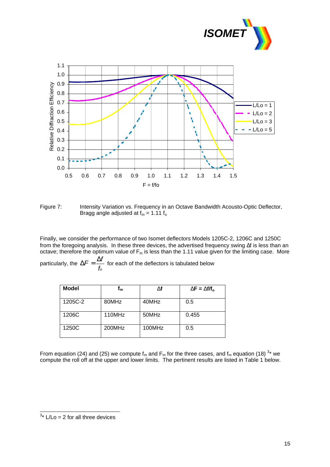



Figure 7: Intensity Variation vs. Frequency in an Octave Bandwidth Acousto-Optic Deflector, Bragg angle adjusted at  $f_m = 1.11 f_o$ 

Finally, we consider the performance of two Isomet deflectors Models 1205C-2, 1206C and 1250C from the foregoing analysis. In these three devices, the advertised frequency swing Δf is less than an octave; therefore the optimum value of  $F_m$  is less than the 1.11 value given for the limiting case. More particularly, the  $\Delta F = \frac{-b}{f_o}$  $\Delta F = \frac{\Delta f}{f}$  for each of the deflectors is tabulated below

| <b>Model</b> | ⊺ա     | Df     | $DF = Df/f_0$ |
|--------------|--------|--------|---------------|
| 1205C-2      | 80MHz  | 40MHz  | 0.5           |
| 1206C        | 110MHz | 50MHz  | 0.455         |
| 1250C        | 200MHz | 100MHz | 0.5           |

From equation (24) and (25) we compute  $f_m$  and  $F_m$  for the three cases, and  $f_m$  equation (18)  $^{3*}$  we compute the roll off at the upper and lower limits. The pertinent results are listed in Table 1 below.

 $3*$  L/Lo = 2 for all three devices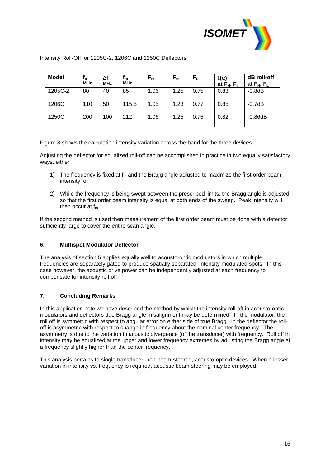

Intensity Roll-Off for 1205C-2, 1206C and 1250C Deflectors

| <b>Model</b> | $t_{o}$<br><b>MHz</b> | Df<br><b>MHz</b> | 'm<br><b>MHz</b> | $\mathsf{F}_{\mathsf{m}}$ | $\mathsf{F}_{\mathsf{H}}$ | $F_{L}$ | I(a)<br>at $F_H$ , $F_L$ | dB roll-off<br>at $F_H$ , $F_L$ |
|--------------|-----------------------|------------------|------------------|---------------------------|---------------------------|---------|--------------------------|---------------------------------|
| 1205C-2      | 80                    | 40               | 85               | 1.06                      | 1.25                      | 0.75    | 0.83                     | $-0.8dB$                        |
| 1206C        | 110                   | 50               | 115.5            | 1.05                      | 1.23                      | 0.77    | 0.85                     | $-0.7dB$                        |
| 1250C        | 200                   | 100              | 212              | 1.06                      | 1.25                      | 0.75    | 0.82                     | $-0.86dB$                       |

Figure 8 shows the calculation intensity variation across the band for the three devices.

Adjusting the deflector for equalized roll-off can be accomplished in practice in two equally satisfactory ways, either

- 1) The frequency is fixed at  $f_m$  and the Bragg angle adjusted to maximize the first order beam intensity, or
- 2) While the frequency is being swept between the prescribed limits, the Bragg angle is adjusted so that the first order beam intensity is equal at both ends of the sweep. Peak intensity will then occur at  $f_m$ .

If the second method is used then measurement of the first order beam must be done with a detector sufficiently large to cover the entire scan angle.

#### **6. Multispot Modulator Deflector**

The analysis of section 5 applies equally well to acousto-optic modulators in which multiple frequencies are separately gated to produce spatially separated, intensity-modulated spots. In this case however, the acoustic drive power can be independently adjusted at each frequency to compensate for intensity roll-off.

## **7. Concluding Remarks**

In this application note we have described the method by which the intensity roll-off in acousto-optic modulators and deflectors due Bragg angle misalignment may be determined. In the modulator, the roll off is symmetric with respect to angular error on either side of true Bragg. In the deflector the rolloff is asymmetric with respect to change in frequency about the nominal center frequency. The asymmetry is due to the variation in acoustic divergence (of the transducer) with frequency. Roll off in intensity may be equalized at the upper and lower frequency extremes by adjusting the Bragg angle at a frequency slightly higher than the center frequency.

This analysis pertains to single transducer, non-beam-steered, acousto-optic devices. When a lesser variation in intensity vs. frequency is required, acoustic beam steering may be employed.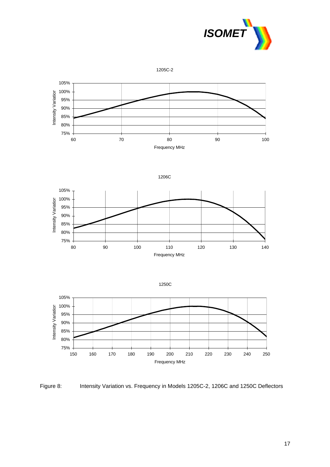

1205C-2



$$
1206C
$$







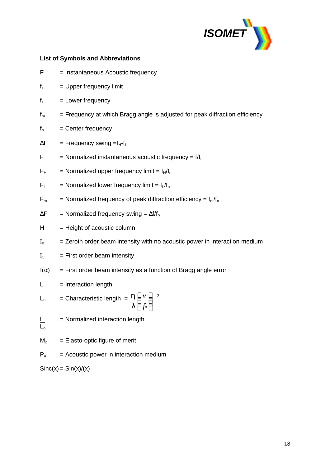

## **List of Symbols and Abbreviations**

- $F =$  Instantaneous Acoustic frequency
- $f_H$  = Upper frequency limit
- $f<sub>L</sub>$  = Lower frequency
- $f_m$  = Frequency at which Bragg angle is adjusted for peak diffraction efficiency
- $f_0$  = Center frequency
- $\Delta f = F$ requency swing = $f_H f_L$
- $F =$  Normalized instantaneous acoustic frequency =  $f/f_0$
- $F_H$  = Normalized upper frequency limit =  $f_H/f_o$
- $F_1$  = Normalized lower frequency limit =  $f_1/f_0$

$$
F_m
$$
 = Normalized frequency of peak diffraction efficiency =  $f_m/f_o$ 

- $\Delta F$  = Normalized frequency swing =  $\Delta f/f_o$
- $H = Height of acoustic column$
- $I_0$  = Zeroth order beam intensity with no acoustic power in interaction medium
- $I_1$  = First order beam intensity

$$
I(\alpha) = First order beam intensity as a function of Bragg angle error
$$

 $L =$  Interaction length

$$
L_o = Characteristic length = \frac{h}{I} \left(\frac{v}{f_o}\right)^{-2}
$$

= Normalized interaction length  $\frac{L}{L_0}$ 

 $M_2$  = Elasto-optic figure of merit

 $P_a$  = Acoustic power in interaction medium

 $Sinc(x) = Sin(x)/(x)$